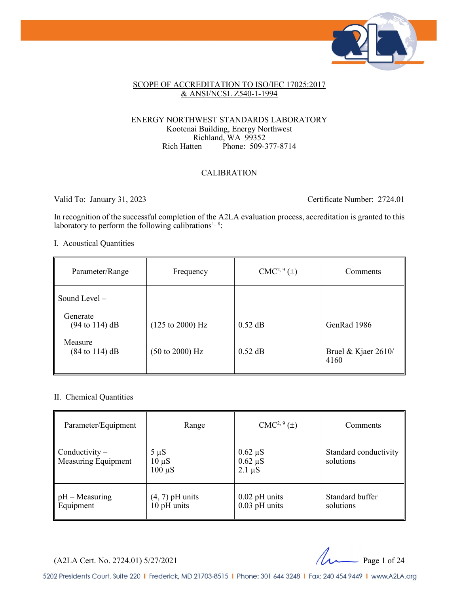

#### SCOPE OF ACCREDITATION TO ISO/IEC 17025:2017 & ANSI/NCSL Z540-1-1994

#### ENERGY NORTHWEST STANDARDS LABORATORY Kootenai Building, Energy Northwest Richland, WA 99352<br>Rich Hatten Phone: 509-3 Phone: 509-377-8714

#### CALIBRATION

Valid To: January 31, 2023 Certificate Number: 2724.01

In recognition of the successful completion of the A2LA evaluation process, accreditation is granted to this laboratory to perform the following calibrations<sup>1, 8</sup>:

I. Acoustical Quantities

| Parameter/Range                               | Frequency                           | $CMC2, 9(\pm)$ | Comments                      |
|-----------------------------------------------|-------------------------------------|----------------|-------------------------------|
| Sound Level $-$                               |                                     |                |                               |
| Generate<br>$(94 \text{ to } 114) \text{ dB}$ | $(125 \text{ to } 2000) \text{ Hz}$ | $0.52$ dB      | GenRad 1986                   |
| Measure<br>$(84 \text{ to } 114) \text{ dB}$  | $(50 \text{ to } 2000) \text{ Hz}$  | $0.52$ dB      | Bruel & Kjaer $2610/$<br>4160 |

#### II. Chemical Quantities

| Parameter/Equipment                            | Range                                  | $CMC2, 9(\pm)$                              | Comments                           |
|------------------------------------------------|----------------------------------------|---------------------------------------------|------------------------------------|
| Conductivity $-$<br><b>Measuring Equipment</b> | $5 \mu S$<br>$10 \mu S$<br>$100 \mu S$ | $0.62 \mu S$<br>$0.62 \mu S$<br>$2.1 \mu S$ | Standard conductivity<br>solutions |
| $pH - Measuring$<br>Equipment                  | $(4, 7)$ pH units<br>10 pH units       | $0.02$ pH units<br>$0.03$ pH units          | Standard buffer<br>solutions       |

(A2LA Cert. No. 2724.01) 5/27/2021 Page 1 of 24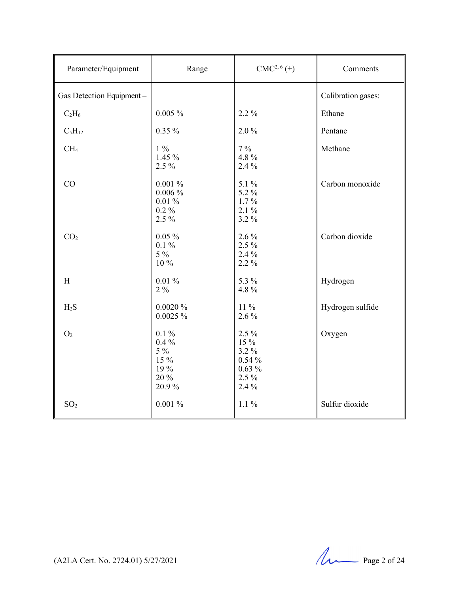| Parameter/Equipment       | Range                                                        | $CMC2, 6(\pm)$                                                       | Comments           |
|---------------------------|--------------------------------------------------------------|----------------------------------------------------------------------|--------------------|
| Gas Detection Equipment - |                                                              |                                                                      | Calibration gases: |
| $C_2H_6$                  | $0.005 \%$                                                   | 2.2 %                                                                | Ethane             |
| $C_5H_{12}$               | $0.35\%$                                                     | $2.0\%$                                                              | Pentane            |
| CH <sub>4</sub>           | $1\%$<br>1.45 %<br>2.5 %                                     | $7\%$<br>4.8%<br>2.4 %                                               | Methane            |
| CO                        | $0.001~\%$<br>$0.006\%$<br>$0.01\%$<br>$0.2\%$<br>2.5 %      | $5.1\%$<br>5.2 %<br>$1.7\%$<br>$2.1\%$<br>3.2%                       | Carbon monoxide    |
| CO <sub>2</sub>           | $0.05\%$<br>$0.1 \%$<br>$5\%$<br>10 %                        | $2.6\%$<br>$2.5\%$<br>$2.4\%$<br>2.2 %                               | Carbon dioxide     |
| H                         | $0.01\,\%$<br>$2\%$                                          | 5.3 %<br>4.8%                                                        | Hydrogen           |
| $H_2S$                    | 0.0020%<br>0.0025%                                           | 11 %<br>$2.6\%$                                                      | Hydrogen sulfide   |
| O <sub>2</sub>            | $0.1\%$<br>$0.4\%$<br>$5\%$<br>15 %<br>19 %<br>20 %<br>20.9% | $2.5\%$<br>15 %<br>3.2 %<br>$0.54\%$<br>$0.63\%$<br>$2.5\%$<br>2.4 % | Oxygen             |
| SO <sub>2</sub>           | $0.001\%$                                                    | $1.1\%$                                                              | Sulfur dioxide     |

(A2LA Cert. No. 2724.01) 5/27/2021 Page 2 of 24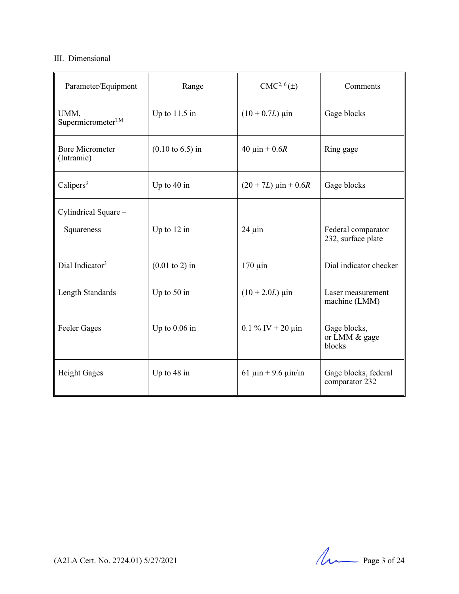### III. Dimensional

| Parameter/Equipment                  | Range                               | CMC <sup>2, 6</sup> (±)                   | Comments                                 |
|--------------------------------------|-------------------------------------|-------------------------------------------|------------------------------------------|
| UMM,<br>Supermicrometer <sup>™</sup> | Up to $11.5$ in                     | $(10 + 0.7L) \,\mu\text{in}$              | Gage blocks                              |
| <b>Bore Micrometer</b><br>(Intramic) | $(0.10 \text{ to } 6.5) \text{ in}$ | 40 $\mu$ in + 0.6R                        | Ring gage                                |
| Calipers <sup>3</sup>                | Up to $40$ in                       | $(20 + 7L) \text{ } \mu \text{in} + 0.6R$ | Gage blocks                              |
| Cylindrical Square -<br>Squareness   | Up to $12$ in                       | $24 \mu$ in                               | Federal comparator<br>232, surface plate |
| Dial Indicator <sup>3</sup>          | $(0.01 \text{ to } 2)$ in           | $170 \mu$ in                              | Dial indicator checker                   |
| Length Standards                     | Up to $50$ in                       | $(10 + 2.0L)$ µin                         | Laser measurement<br>machine (LMM)       |
| <b>Feeler Gages</b>                  | Up to $0.06$ in                     | $0.1\%$ IV + 20 $\mu$ in                  | Gage blocks,<br>or LMM & gage<br>blocks  |
| <b>Height Gages</b>                  | Up to 48 in                         | 61 $\mu$ in + 9.6 $\mu$ in/in             | Gage blocks, federal<br>comparator 232   |

(A2LA Cert. No. 2724.01) 5/27/2021 Page 3 of 24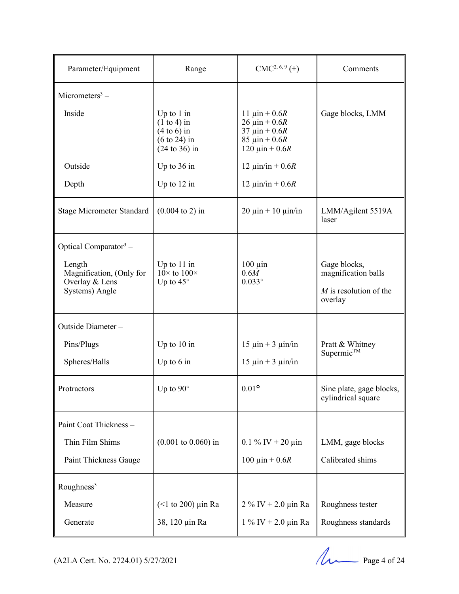| Parameter/Equipment                                                                                | Range                                                                                                 | $CMC2, 6, 9(\pm)$                                                                                                                   | Comments                                                                   |
|----------------------------------------------------------------------------------------------------|-------------------------------------------------------------------------------------------------------|-------------------------------------------------------------------------------------------------------------------------------------|----------------------------------------------------------------------------|
| Micrometers <sup>3</sup> –                                                                         |                                                                                                       |                                                                                                                                     |                                                                            |
| Inside                                                                                             | Up to $1$ in<br>$(1 to 4)$ in<br>$(4 to 6)$ in<br>$(6 \text{ to } 24)$ in<br>$(24 \text{ to } 36)$ in | 11 $\mu$ in + 0.6 <i>R</i><br>$26 \mu in + 0.6R$<br>$37 \mu in + 0.6R$<br>85 $\mu$ in + 0.6 <i>R</i><br>120 $\mu$ in + 0.6 <i>R</i> | Gage blocks, LMM                                                           |
| Outside                                                                                            | Up to $36$ in                                                                                         | 12 $\mu$ in/in + 0.6 <i>R</i>                                                                                                       |                                                                            |
| Depth                                                                                              | Up to $12$ in                                                                                         | 12 μin/in + 0.6 <i>R</i>                                                                                                            |                                                                            |
| <b>Stage Micrometer Standard</b>                                                                   | $(0.004 \text{ to } 2)$ in                                                                            | $20 \mu$ in + 10 $\mu$ in/in                                                                                                        | LMM/Agilent 5519A<br>laser                                                 |
| Optical Comparator $3$ –<br>Length<br>Magnification, (Only for<br>Overlay & Lens<br>Systems) Angle | Up to $11$ in<br>$10 \times$ to $100 \times$<br>Up to $45^\circ$                                      | $100 \mu$ in<br>0.6M<br>$0.033^\circ$                                                                                               | Gage blocks,<br>magnification balls<br>$M$ is resolution of the<br>overlay |
| Outside Diameter-                                                                                  |                                                                                                       |                                                                                                                                     |                                                                            |
| Pins/Plugs                                                                                         | Up to $10$ in                                                                                         | $15 \mu in + 3 \mu in/in$                                                                                                           | Pratt & Whitney                                                            |
| Spheres/Balls                                                                                      | Up to $6$ in                                                                                          | $15 \mu in + 3 \mu in/in$                                                                                                           | $Supermic^{TM}$                                                            |
| Protractors                                                                                        | Up to $90^\circ$                                                                                      | $0.01$ °                                                                                                                            | Sine plate, gage blocks,<br>cylindrical square                             |
| Paint Coat Thickness -                                                                             |                                                                                                       |                                                                                                                                     |                                                                            |
| Thin Film Shims                                                                                    | $(0.001 \text{ to } 0.060) \text{ in}$                                                                | $0.1\%$ IV + 20 $\mu$ in                                                                                                            | LMM, gage blocks                                                           |
| Paint Thickness Gauge                                                                              |                                                                                                       | 100 $\mu$ in + 0.6 <i>R</i>                                                                                                         | Calibrated shims                                                           |
| Roughness <sup>3</sup>                                                                             |                                                                                                       |                                                                                                                                     |                                                                            |
| Measure                                                                                            | $($ 1 to 200) $\mu$ in Ra                                                                             | $2~\%$ IV + 2.0 $\mu$ in Ra                                                                                                         | Roughness tester                                                           |
| Generate                                                                                           | 38, 120 µin Ra                                                                                        | $1\%$ IV + 2.0 $\mu$ in Ra                                                                                                          | Roughness standards                                                        |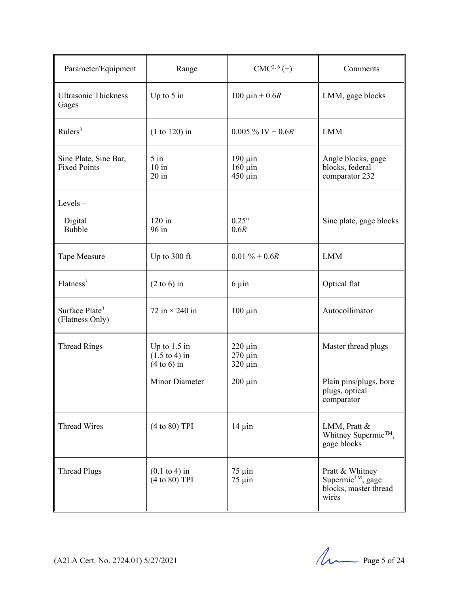| Parameter/Equipment                           | Range                                                       | $CMC2, 6(\pm)$                               | Comments                                                                          |
|-----------------------------------------------|-------------------------------------------------------------|----------------------------------------------|-----------------------------------------------------------------------------------|
| <b>Ultrasonic Thickness</b><br>Gages          | Up to $5$ in                                                | 100 $\mu$ in + 0.6 <i>R</i>                  | LMM, gage blocks                                                                  |
| Rulers <sup>3</sup>                           | $(1 to 120)$ in                                             | $0.005\%$ IV + 0.6R                          | <b>LMM</b>                                                                        |
| Sine Plate, Sine Bar,<br><b>Fixed Points</b>  | $5$ in<br>$10$ in<br>$20$ in                                | $190 \mu$ in<br>$160 \mu$ in<br>$450 \mu$ in | Angle blocks, gage<br>blocks, federal<br>comparator 232                           |
| Levels $-$                                    |                                                             |                                              |                                                                                   |
| Digital<br>Bubble                             | $120$ in<br>96 in                                           | $0.25^{\circ}$<br>0.6R                       | Sine plate, gage blocks                                                           |
| Tape Measure                                  | Up to 300 ft                                                | $0.01 \% + 0.6R$                             | <b>LMM</b>                                                                        |
| Flatness <sup>3</sup>                         | $(2 \text{ to } 6)$ in                                      | $6 \mu$ in                                   | Optical flat                                                                      |
| Surface Plate <sup>3</sup><br>(Flatness Only) | 72 in $\times$ 240 in                                       | $100 \mu$ in                                 | Autocollimator                                                                    |
| <b>Thread Rings</b>                           | Up to $1.5$ in<br>$(1.5 \text{ to } 4)$ in<br>$(4 to 6)$ in | $220 \mu$ in<br>$270 \mu$ in<br>$320 \mu$ in | Master thread plugs                                                               |
|                                               | <b>Minor Diameter</b>                                       | $200 \mu$ in                                 | Plain pins/plugs, bore<br>plugs, optical<br>comparator                            |
| <b>Thread Wires</b>                           | (4 to 80) TPI                                               | $14 \mu$ in                                  | LMM, Pratt &<br>Whitney Supermic™,<br>gage blocks                                 |
| <b>Thread Plugs</b>                           | $(0.1 \text{ to } 4)$ in<br>(4 to 80) TPI                   | $75 \mu$ in<br>$75 \mu$ in                   | Pratt & Whitney<br>Supermic <sup>™</sup> , gage<br>blocks, master thread<br>wires |

(A2LA Cert. No. 2724.01) 5/27/2021 Page 5 of 24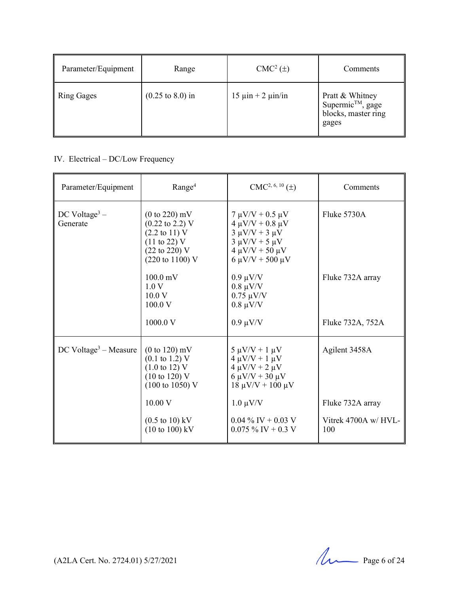| Parameter/Equipment | Range                               | $CMC2(\pm)$                 | Comments                                                           |
|---------------------|-------------------------------------|-----------------------------|--------------------------------------------------------------------|
| Ring Gages          | $(0.25 \text{ to } 8.0) \text{ in}$ | $15 \mu$ in + 2 $\mu$ in/in | Pratt & Whitney<br>Supermic™, gage<br>blocks, master ring<br>gages |

# IV. Electrical – DC/Low Frequency

| Parameter/Equipment                   | Range <sup>4</sup>                                                                                                                                                                             | $CMC2, 6, 10(\pm)$                                                                                                                                        | Comments                    |
|---------------------------------------|------------------------------------------------------------------------------------------------------------------------------------------------------------------------------------------------|-----------------------------------------------------------------------------------------------------------------------------------------------------------|-----------------------------|
| DC Voltage <sup>3</sup> –<br>Generate | $(0 to 220)$ mV<br>$(0.22 \text{ to } 2.2) \text{ V}$<br>$(2.2 \text{ to } 11) \text{ V}$<br>$(11 \text{ to } 22) \text{ V}$<br>$(22 \text{ to } 220)$ V<br>$(220 \text{ to } 1100) \text{ V}$ | $7 \mu V/V + 0.5 \mu V$<br>$4 \mu V/V + 0.8 \mu V$<br>$3 \mu V/V + 3 \mu V$<br>$3 \mu V/V + 5 \mu V$<br>$4 \mu V/V + 50 \mu V$<br>$6 \mu V/V + 500 \mu V$ | Fluke 5730A                 |
|                                       | $100.0 \,\mathrm{mV}$<br>1.0V<br>10.0 V<br>100.0 V                                                                                                                                             | $0.9 \mu V/V$<br>$0.8 \mu V/V$<br>$0.75 \mu V/V$<br>$0.8 \mu V/V$                                                                                         | Fluke 732A array            |
|                                       | 1000.0 V                                                                                                                                                                                       | $0.9 \mu V/V$                                                                                                                                             | Fluke 732A, 752A            |
| $DC$ Voltage <sup>3</sup> – Measure   | $(0 to 120)$ mV<br>$(0.1 \text{ to } 1.2) \text{ V}$<br>$(1.0 \text{ to } 12) \text{ V}$<br>$(10 \text{ to } 120)$ V<br>$(100 \text{ to } 1050)$ V                                             | $5 \mu V/V + 1 \mu V$<br>$4 \mu V/V + 1 \mu V$<br>$4 \mu V/V + 2 \mu V$<br>$6 \mu V/V + 30 \mu V$<br>$18 \mu V/V + 100 \mu V$                             | Agilent 3458A               |
|                                       | 10.00 V                                                                                                                                                                                        | $1.0 \mu V/V$                                                                                                                                             | Fluke 732A array            |
|                                       | $(0.5 \text{ to } 10) \text{ kV}$<br>$(10 \text{ to } 100) \text{ kV}$                                                                                                                         | $0.04\%$ IV + 0.03 V<br>$0.075\%$ IV + 0.3 V                                                                                                              | Vitrek 4700A w/ HVL-<br>100 |

(A2LA Cert. No. 2724.01) 5/27/2021 Page 6 of 24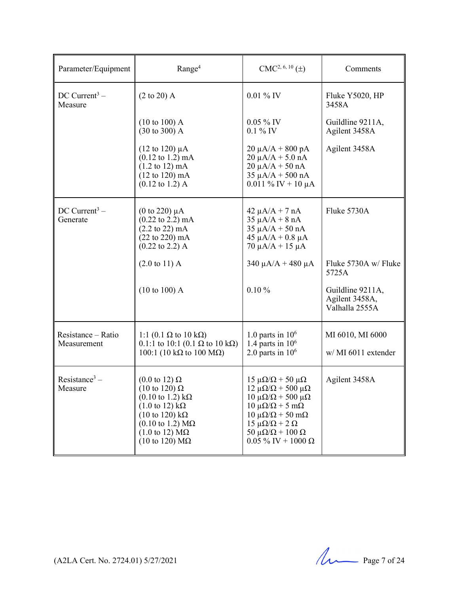| Parameter/Equipment                     | Range <sup>4</sup>                                                                                                                                                                                                                                                                                                             | $CMC2, 6, 10(\pm)$                                                                                                                                                                                                                                                                                           | Comments                                             |
|-----------------------------------------|--------------------------------------------------------------------------------------------------------------------------------------------------------------------------------------------------------------------------------------------------------------------------------------------------------------------------------|--------------------------------------------------------------------------------------------------------------------------------------------------------------------------------------------------------------------------------------------------------------------------------------------------------------|------------------------------------------------------|
| $DC$ Current <sup>3</sup> –<br>Measure  | $(2 \text{ to } 20)$ A                                                                                                                                                                                                                                                                                                         | $0.01\%$ IV                                                                                                                                                                                                                                                                                                  | Fluke Y5020, HP<br>3458A                             |
|                                         | $(10 \text{ to } 100)$ A<br>$(30 \text{ to } 300)$ A                                                                                                                                                                                                                                                                           | $0.05\%$ IV<br>$0.1\%$ IV                                                                                                                                                                                                                                                                                    | Guildline 9211A,<br>Agilent 3458A                    |
|                                         | $(12 \text{ to } 120) \mu A$<br>$(0.12 \text{ to } 1.2) \text{ mA}$<br>$(1.2 \text{ to } 12) \text{ mA}$<br>$(12 \text{ to } 120) \text{ mA}$<br>$(0.12 \text{ to } 1.2)$ A                                                                                                                                                    | $20 \mu A/A + 800 pA$<br>$20 \mu A/A + 5.0 nA$<br>$20 \mu A/A + 50 nA$<br>$35 \mu A/A + 500 \text{ nA}$<br>$0.011 \%$ IV + 10 µA                                                                                                                                                                             | Agilent 3458A                                        |
| $DC$ Current <sup>3</sup> –<br>Generate | (0 to 220) $\mu$ A<br>$(0.22 \text{ to } 2.2) \text{ mA}$<br>$(2.2 \text{ to } 22) \text{ mA}$<br>$(22 \text{ to } 220) \text{ mA}$<br>$(0.22 \text{ to } 2.2)$ A                                                                                                                                                              | $42 \mu A/A + 7 nA$<br>$35 \mu A/A + 8 nA$<br>$35 \mu A/A + 50 nA$<br>$45 \mu A/A + 0.8 \mu A$<br>$70 \mu A/A + 15 \mu A$                                                                                                                                                                                    | Fluke 5730A                                          |
|                                         | $(2.0 \text{ to } 11)$ A                                                                                                                                                                                                                                                                                                       | $340 \mu A/A + 480 \mu A$                                                                                                                                                                                                                                                                                    | Fluke 5730A w/ Fluke<br>5725A                        |
|                                         | (10 to 100) A                                                                                                                                                                                                                                                                                                                  | 0.10%                                                                                                                                                                                                                                                                                                        | Guildline 9211A,<br>Agilent 3458A,<br>Valhalla 2555A |
| Resistance - Ratio<br>Measurement       | 1:1 (0.1 Ω to 10 kΩ)<br>0.1:1 to 10:1 (0.1 $\Omega$ to 10 k $\Omega$ )<br>100:1 (10 kΩ to 100 MΩ)                                                                                                                                                                                                                              | 1.0 parts in $106$<br>1.4 parts in $106$<br>2.0 parts in $106$                                                                                                                                                                                                                                               | MI 6010, MI 6000<br>w/MI 6011 extender               |
| Resistance <sup>3</sup> –<br>Measure    | $(0.0 \text{ to } 12) \Omega$<br>$(10 \text{ to } 120) \Omega$<br>$(0.10 \text{ to } 1.2) \text{ k}\Omega$<br>$(1.0 \text{ to } 12) \text{ k}\Omega$<br>$(10 \text{ to } 120) \text{ k}\Omega$<br>$(0.10 \text{ to } 1.2) \text{ M}\Omega$<br>$(1.0 \text{ to } 12) \text{ M}\Omega$<br>$(10 \text{ to } 120) \text{ M}\Omega$ | $15 \mu\Omega/\Omega + 50 \mu\Omega$<br>$12 \mu\Omega/\Omega$ + 500 $\mu\Omega$<br>$10 \mu\Omega/\Omega$ + 500 μ $\Omega$<br>$10 \mu\Omega/\Omega + 5 \mu\Omega$<br>$10 \mu\Omega/\Omega$ + 50 m $\Omega$<br>$15 \mu\Omega/\Omega + 2 \Omega$<br>50 μ $\Omega/\Omega$ + 100 Ω<br>$0.05\%$ IV + 1000 $\Omega$ | Agilent 3458A                                        |

(A2LA Cert. No. 2724.01) 5/27/2021 Page 7 of 24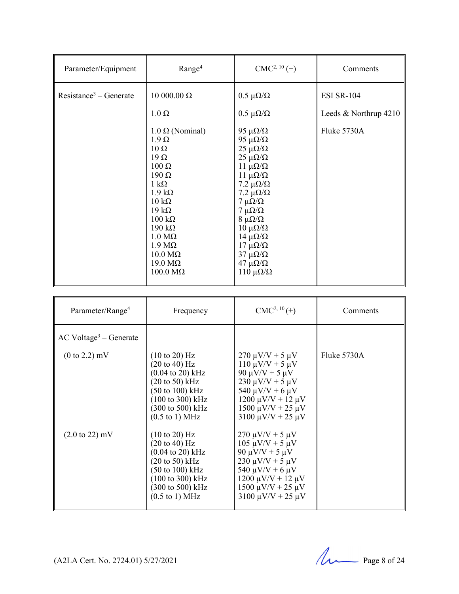| Parameter/Equipment      | Range <sup>4</sup>                                                                                                                                                                                                                                                                                                                                     | $CMC2, 10(\pm)$                                                                                                                                                                                                                                                                                                                                                                              | Comments              |
|--------------------------|--------------------------------------------------------------------------------------------------------------------------------------------------------------------------------------------------------------------------------------------------------------------------------------------------------------------------------------------------------|----------------------------------------------------------------------------------------------------------------------------------------------------------------------------------------------------------------------------------------------------------------------------------------------------------------------------------------------------------------------------------------------|-----------------------|
| $Resistance3 - Generate$ | 10000.00 Ω                                                                                                                                                                                                                                                                                                                                             | $0.5 \mu\Omega/\Omega$                                                                                                                                                                                                                                                                                                                                                                       | <b>ESI SR-104</b>     |
|                          | $1.0 \Omega$                                                                                                                                                                                                                                                                                                                                           | $0.5 \mu\Omega/\Omega$                                                                                                                                                                                                                                                                                                                                                                       | Leeds & Northrup 4210 |
|                          | $1.0 \Omega$ (Nominal)<br>$1.9 \Omega$<br>$10 \Omega$<br>$19\Omega$<br>$100 \Omega$<br>$190 \Omega$<br>$1 \text{ k}\Omega$<br>$1.9 k\Omega$<br>$10 \text{ k}\Omega$<br>$19 k\Omega$<br>$100 \text{ k}\Omega$<br>$190 \text{ k}\Omega$<br>$1.0 M\Omega$<br>$1.9 M\Omega$<br>$10.0 \text{ M}\Omega$<br>$19.0 \text{ M}\Omega$<br>$100.0 \text{ M}\Omega$ | 95 $\mu\Omega/\Omega$<br>95 $\mu\Omega/\Omega$<br>$25 \mu\Omega/\Omega$<br>$25 \mu\Omega/\Omega$<br>$11 \muΩ/Ω$<br>$11 \muΩ/Ω$<br>7.2 $\mu\Omega/\Omega$<br>7.2 $\mu\Omega/\Omega$<br>$7 \mu\Omega/\Omega$<br>$7 \mu\Omega/\Omega$<br>$8 \mu\Omega/\Omega$<br>$10 \muΩ/Ω$<br>$14 \mu\Omega/\Omega$<br>$17 \mu\Omega/\Omega$<br>$37 \muΩ/Ω$<br>$47 \mu\Omega/\Omega$<br>110 μ $\Omega/\Omega$ | Fluke 5730A           |

| Parameter/Range <sup>4</sup>         | Frequency                                                                                                                                                                                                                                                                      | $CMC2, 10(\pm)$                                                                                                                                                                                                             | Comments    |
|--------------------------------------|--------------------------------------------------------------------------------------------------------------------------------------------------------------------------------------------------------------------------------------------------------------------------------|-----------------------------------------------------------------------------------------------------------------------------------------------------------------------------------------------------------------------------|-------------|
| $AC$ Voltage <sup>3</sup> – Generate |                                                                                                                                                                                                                                                                                |                                                                                                                                                                                                                             |             |
| $(0 \text{ to } 2.2) \text{ mV}$     | $(10 \text{ to } 20)$ Hz<br>$(20 \text{ to } 40) \text{ Hz}$<br>$(0.04 \text{ to } 20) \text{ kHz}$<br>$(20 \text{ to } 50) \text{ kHz}$<br>$(50 \text{ to } 100) \text{ kHz}$<br>$(100 \text{ to } 300) \text{ kHz}$<br>(300 to 500) kHz<br>$(0.5 \text{ to } 1) \text{ MHz}$ | $270 \mu V/V + 5 \mu V$<br>$110 \mu V/V + 5 \mu V$<br>$90 \mu V/V + 5 \mu V$<br>$230 \mu V/V + 5 \mu V$<br>$540 \mu V/V + 6 \mu V$<br>$1200 \mu V/V + 12 \mu V$<br>$1500 \mu V/V + 25 \mu V$<br>$3100 \mu V/V + 25 \mu V$   | Fluke 5730A |
| $(2.0 \text{ to } 22) \text{ mV}$    | $(10 \text{ to } 20)$ Hz<br>$(20 \text{ to } 40) \text{ Hz}$<br>$(0.04 \text{ to } 20) \text{ kHz}$<br>$(20 \text{ to } 50) \text{ kHz}$<br>$(50 \text{ to } 100) \text{ kHz}$<br>$(100 \text{ to } 300) \text{ kHz}$<br>(300 to 500) kHz<br>$(0.5 \text{ to } 1) \text{ MHz}$ | $270 \mu V/V + 5 \mu V$<br>$105 \mu V/V + 5 \mu V$<br>$90 \mu V/V + 5 \mu V$<br>$230 \mu V/V + 5 \mu V$<br>540 $\mu$ V/V + 6 $\mu$ V<br>$1200 \mu V/V + 12 \mu V$<br>$1500 \mu V/V + 25 \mu V$<br>$3100 \mu V/V + 25 \mu V$ |             |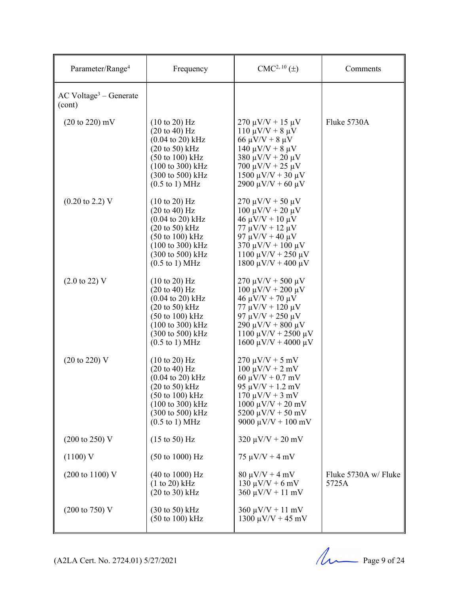| Parameter/Range <sup>4</sup>                   | Frequency                                                                                                                                                                                                                                                                                         | $CMC2, 10(\pm)$                                                                                                                                                                                                              | Comments                      |
|------------------------------------------------|---------------------------------------------------------------------------------------------------------------------------------------------------------------------------------------------------------------------------------------------------------------------------------------------------|------------------------------------------------------------------------------------------------------------------------------------------------------------------------------------------------------------------------------|-------------------------------|
| $AC$ Voltage <sup>3</sup> – Generate<br>(cont) |                                                                                                                                                                                                                                                                                                   |                                                                                                                                                                                                                              |                               |
| $(20 \text{ to } 220) \text{ mV}$              | $(10 \text{ to } 20)$ Hz<br>$(20 \text{ to } 40) \text{ Hz}$<br>$(0.04 \text{ to } 20) \text{ kHz}$<br>$(20 \text{ to } 50)$ kHz<br>$(50 \text{ to } 100) \text{ kHz}$<br>$(100 \text{ to } 300) \text{ kHz}$<br>$(300 \text{ to } 500) \text{ kHz}$<br>$(0.5 \text{ to } 1) \text{ MHz}$         | $270 \mu V/V + 15 \mu V$<br>$110 \mu V/V + 8 \mu V$<br>$66 \mu V/V + 8 \mu V$<br>$140 \mu V/V + 8 \mu V$<br>$380 \mu V/V + 20 \mu V$<br>$700 \mu V/V + 25 \mu V$<br>$1500 \mu V/V + 30 \mu V$<br>$2900 \mu V/V + 60 \mu V$   | Fluke 5730A                   |
| $(0.20 \text{ to } 2.2) \text{ V}$             | $(10 \text{ to } 20)$ Hz<br>$(20 \text{ to } 40) \text{ Hz}$<br>$(0.04 \text{ to } 20) \text{ kHz}$<br>$(20 \text{ to } 50) \text{ kHz}$<br>$(50 \text{ to } 100) \text{ kHz}$<br>(100 to 300) kHz<br>$(300 \text{ to } 500) \text{ kHz}$<br>$(0.5 \text{ to } 1) \text{ MHz}$                    | $270 \mu V/V + 50 \mu V$<br>$100 \mu V/V + 20 \mu V$<br>$46 \mu V/V + 10 \mu V$<br>$77 \mu V/V + 12 \mu V$<br>97 μV/V + 40 μV<br>$370 \mu V/V + 100 \mu V$<br>1100 μV/V + 250 μV<br>1800 μV/V + 400 μV                       |                               |
| $(2.0 \text{ to } 22) \text{ V}$               | $(10 \text{ to } 20)$ Hz<br>$(20 \text{ to } 40) \text{ Hz}$<br>$(0.04 \text{ to } 20) \text{ kHz}$<br>$(20 \text{ to } 50) \text{ kHz}$<br>$(50 \text{ to } 100) \text{ kHz}$<br>$(100 \text{ to } 300) \text{ kHz}$<br>$(300 \text{ to } 500) \text{ kHz}$<br>$(0.5 \text{ to } 1) \text{ MHz}$ | $270 \mu V/V + 500 \mu V$<br>$100 \mu V/V + 200 \mu V$<br>$46 \mu V/V + 70 \mu V$<br>$77 \mu V/V + 120 \mu V$<br>$97 \mu V/V + 250 \mu V$<br>$290 \mu V/V + 800 \mu V$<br>$1100 \mu V/V + 2500 \mu V$<br>1600 μV/V + 4000 μV |                               |
| $(20 \text{ to } 220)$ V                       | $(10 \text{ to } 20)$ Hz<br>$(20 \text{ to } 40) \text{ Hz}$<br>$(0.04 \text{ to } 20) \text{ kHz}$<br>$(20 \text{ to } 50)$ kHz<br>$(50 \text{ to } 100) \text{ kHz}$<br>(100 to 300) kHz<br>(300 to 500) kHz<br>$(0.5 \text{ to } 1) \text{ MHz}$                                               | $270 \mu V/V + 5 \ mV$<br>$100 \mu V/V + 2 mV$<br>$60 \mu V/V + 0.7 \ mV$<br>$95 \mu V/V + 1.2 \ mV$<br>$170 \mu V/V + 3 \mu V$<br>$1000 \mu V/V + 20 \ mV$<br>$5200 \mu V/V + 50 \ mV$<br>9000 $\mu$ V/V + 100 mV           |                               |
| $(200 \text{ to } 250) \text{ V}$              | $(15 \text{ to } 50)$ Hz                                                                                                                                                                                                                                                                          | $320 \mu V/V + 20 \mu V$                                                                                                                                                                                                     |                               |
| $(1100)$ V                                     | $(50 \text{ to } 1000) \text{ Hz}$                                                                                                                                                                                                                                                                | $75 \mu V/V + 4 \ mV$                                                                                                                                                                                                        |                               |
| $(200 \text{ to } 1100) \text{ V}$             | $(40 \text{ to } 1000) \text{ Hz}$<br>$(1 to 20)$ kHz<br>$(20 to 30)$ kHz                                                                                                                                                                                                                         | $80 \mu V/V + 4 \ mV$<br>$130 \mu V/V + 6 \ mV$<br>$360 \mu V/V + 11 \mu V$                                                                                                                                                  | Fluke 5730A w/ Fluke<br>5725A |
| $(200 \text{ to } 750) \text{ V}$              | $(30 \text{ to } 50) \text{ kHz}$<br>$(50 \text{ to } 100) \text{ kHz}$                                                                                                                                                                                                                           | $360 \mu V/V + 11 \ mV$<br>$1300 \mu V/V + 45 \ mV$                                                                                                                                                                          |                               |

(A2LA Cert. No. 2724.01) 5/27/2021 Page 9 of 24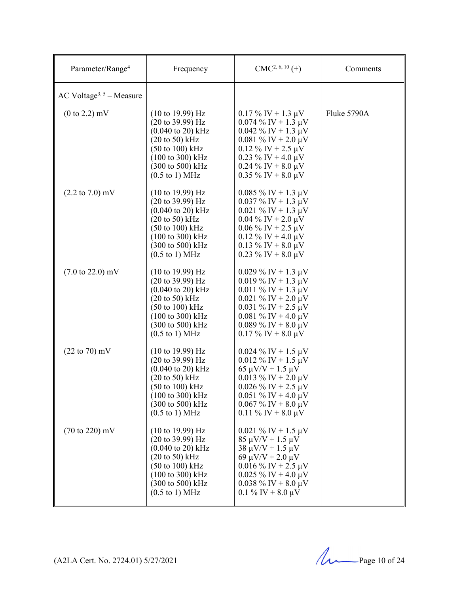| Parameter/Range <sup>4</sup>         | Frequency                                                                                                                                                                                                                                                                                                        | $CMC2, 6, 10(\pm)$                                                                                                                                                                                                | Comments    |
|--------------------------------------|------------------------------------------------------------------------------------------------------------------------------------------------------------------------------------------------------------------------------------------------------------------------------------------------------------------|-------------------------------------------------------------------------------------------------------------------------------------------------------------------------------------------------------------------|-------------|
| AC Voltage <sup>3, 5</sup> – Measure |                                                                                                                                                                                                                                                                                                                  |                                                                                                                                                                                                                   |             |
| $(0 \text{ to } 2.2) \text{ mV}$     | $(10 \text{ to } 19.99) \text{ Hz}$<br>$(20 \text{ to } 39.99) \text{ Hz}$<br>$(0.040 \text{ to } 20) \text{ kHz}$<br>$(20 \text{ to } 50) \text{ kHz}$<br>$(50 \text{ to } 100) \text{ kHz}$<br>$(100 \text{ to } 300) \text{ kHz}$<br>(300 to 500) kHz<br>$(0.5 \text{ to } 1) \text{ MHz}$                    | $0.17\%$ IV + 1.3 µV<br>$0.074\%$ IV + 1.3 µV<br>$0.042 \%$ IV + 1.3 µV<br>$0.081\%$ IV + 2.0 µV<br>$0.12 \%$ IV + 2.5 $\mu$ V<br>$0.23\%$ IV + 4.0 µV<br>$0.24\%$ IV + 8.0 µV<br>$0.35\%$ IV + 8.0 µV            | Fluke 5790A |
| $(2.2 \text{ to } 7.0) \text{ mV}$   | $(10 \text{ to } 19.99) \text{ Hz}$<br>$(20 \text{ to } 39.99) \text{ Hz}$<br>$(0.040 \text{ to } 20) \text{ kHz}$<br>$(20 \text{ to } 50)$ kHz<br>$(50 \text{ to } 100) \text{ kHz}$<br>$(100 \text{ to } 300) \text{ kHz}$<br>$(300 \text{ to } 500) \text{ kHz}$<br>$(0.5 \text{ to } 1) \text{ MHz}$         | $0.085\%$ IV + 1.3 µV<br>$0.037 \%$ IV + 1.3 µV<br>$0.021\%$ IV + 1.3 µV<br>$0.04\%$ IV + 2.0 µV<br>$0.06\%$ IV + 2.5 µV<br>$0.12\%$ IV + 4.0 µV<br>$0.13\%$ IV + 8.0 µV<br>$0.23\%$ IV + 8.0 µV                  |             |
| $(7.0 \text{ to } 22.0) \text{ mV}$  | $(10 \text{ to } 19.99) \text{ Hz}$<br>$(20 \text{ to } 39.99) \text{ Hz}$<br>$(0.040 \text{ to } 20) \text{ kHz}$<br>$(20 \text{ to } 50) \text{ kHz}$<br>$(50 \text{ to } 100) \text{ kHz}$<br>$(100 \text{ to } 300) \text{ kHz}$<br>$(300 \text{ to } 500) \text{ kHz}$<br>$(0.5 \text{ to } 1) \text{ MHz}$ | $0.029\%$ IV + 1.3 µV<br>$0.019\%$ IV + 1.3 µV<br>$0.011 \%$ IV + 1.3 µV<br>$0.021\%$ IV + 2.0 µV<br>$0.031 \%$ IV + 2.5 µV<br>$0.081\%$ IV + 4.0 µV<br>$0.089\%$ IV + 8.0 µV<br>$0.17\%$ IV + 8.0 µV             |             |
| $(22 \text{ to } 70) \text{ mV}$     | $(10 \text{ to } 19.99) \text{ Hz}$<br>$(20 \text{ to } 39.99)$ Hz<br>$(0.040 \text{ to } 20) \text{ kHz}$<br>$(20 \text{ to } 50) \text{ kHz}$<br>$(50 \text{ to } 100) \text{ kHz}$<br>$(100 \text{ to } 300) \text{ kHz}$<br>(300 to 500) kHz<br>$(0.5 \text{ to } 1) \text{ MHz}$                            | $0.024\%$ IV + 1.5 µV<br>$0.012 \%$ IV + 1.5 µV<br>$65 \mu V/V + 1.5 \mu V$<br>$0.013 \%$ IV + 2.0 µV<br>$0.026\%$ IV + 2.5 µV<br>$0.051\%$ IV + 4.0 µV<br>$0.067\%$ IV + 8.0 µV<br>0.11 % IV + 8.0 $\mu$ V       |             |
| $(70 \text{ to } 220) \text{ mV}$    | $(10 \text{ to } 19.99) \text{ Hz}$<br>$(20 \text{ to } 39.99) \text{ Hz}$<br>$(0.040 \text{ to } 20) \text{ kHz}$<br>$(20 \text{ to } 50)$ kHz<br>$(50 \text{ to } 100) \text{ kHz}$<br>$(100 \text{ to } 300) \text{ kHz}$<br>$(300 \text{ to } 500) \text{ kHz}$<br>$(0.5 \text{ to } 1) \text{ MHz}$         | $0.021 \%$ IV + 1.5 µV<br>$85 \mu V/V + 1.5 \mu V$<br>$38 \mu V/V + 1.5 \mu V$<br>69 $\mu$ V/V + 2.0 $\mu$ V<br>$0.016\%$ IV + 2.5 µV<br>$0.025\%$ IV + 4.0 µV<br>$0.038\%$ IV + 8.0 µV<br>0.1 % IV + 8.0 $\mu$ V |             |

(A2LA Cert. No. 2724.01) 5/27/2021 Page 10 of 24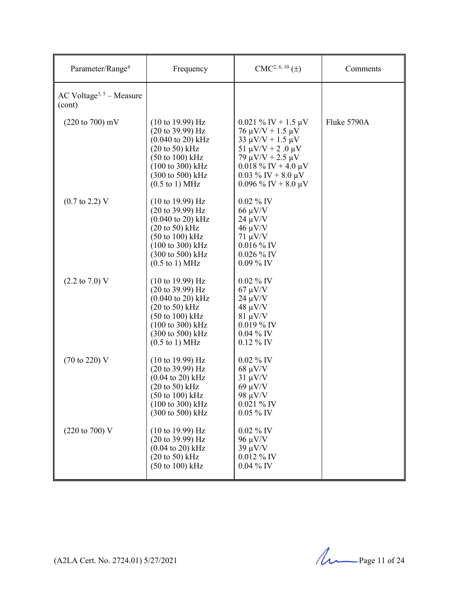| Parameter/Range <sup>4</sup>                   | Frequency                                                                                                                                                                                                                                                                                                        | $CMC2, 6, 10(\pm)$                                                                                                                                                                                                  | Comments    |
|------------------------------------------------|------------------------------------------------------------------------------------------------------------------------------------------------------------------------------------------------------------------------------------------------------------------------------------------------------------------|---------------------------------------------------------------------------------------------------------------------------------------------------------------------------------------------------------------------|-------------|
| AC Voltage <sup>3, 5</sup> – Measure<br>(cont) |                                                                                                                                                                                                                                                                                                                  |                                                                                                                                                                                                                     |             |
| $(220 \text{ to } 700) \text{ mV}$             | $(10 \text{ to } 19.99)$ Hz<br>$(20 \text{ to } 39.99) \text{ Hz}$<br>$(0.040 \text{ to } 20) \text{ kHz}$<br>$(20 \text{ to } 50)$ kHz<br>$(50 \text{ to } 100) \text{ kHz}$<br>$(100 \text{ to } 300) \text{ kHz}$<br>(300 to 500) kHz<br>$(0.5 \text{ to } 1) \text{ MHz}$                                    | $0.021\%$ IV + 1.5 µV<br>$76 \mu V/V + 1.5 \mu V$<br>$33 \mu V/V + 1.5 \mu V$<br>51 $\mu$ V/V + 2.0 $\mu$ V<br>79 $\mu$ V/V + 2.5 $\mu$ V<br>$0.018\%$ IV + 4.0 µV<br>$0.03\%$ IV + 8.0 µV<br>$0.096\%$ IV + 8.0 µV | Fluke 5790A |
| $(0.7 \text{ to } 2.2)$ V                      | $(10 \text{ to } 19.99)$ Hz<br>(20 to 39.99) Hz<br>$(0.040 \text{ to } 20) \text{ kHz}$<br>$(20 \text{ to } 50)$ kHz<br>$(50 \text{ to } 100) \text{ kHz}$<br>$(100 \text{ to } 300) \text{ kHz}$<br>$(300 \text{ to } 500) \text{ kHz}$<br>$(0.5 \text{ to } 1) \text{ MHz}$                                    | $0.02\%$ IV<br>$66 \mu V/V$<br>$24 \mu V/V$<br>$46 \mu V/V$<br>$71 \mu V/V$<br>$0.016\%$ IV<br>$0.026\%$ IV<br>$0.09\%$ IV                                                                                          |             |
| $(2.2 \text{ to } 7.0) \text{ V}$              | $(10 \text{ to } 19.99) \text{ Hz}$<br>$(20 \text{ to } 39.99) \text{ Hz}$<br>$(0.040 \text{ to } 20) \text{ kHz}$<br>$(20 \text{ to } 50) \text{ kHz}$<br>$(50 \text{ to } 100) \text{ kHz}$<br>$(100 \text{ to } 300) \text{ kHz}$<br>$(300 \text{ to } 500) \text{ kHz}$<br>$(0.5 \text{ to } 1) \text{ MHz}$ | $0.02~\%$ IV<br>$67 \mu V/V$<br>$24 \mu V/V$<br>$48 \mu V/V$<br>$81 \mu V/V$<br>$0.019\%$ IV<br>$0.04\%$ IV<br>$0.12\%$ IV                                                                                          |             |
| $(70 \text{ to } 220) \text{ V}$               | $(10 \text{ to } 19.99) \text{ Hz}$<br>$(20 \text{ to } 39.99) \text{ Hz}$<br>$(0.04 \text{ to } 20) \text{ kHz}$<br>$(20 \text{ to } 50)$ kHz<br>(50 to 100) kHz<br>(100 to 300) kHz<br>(300 to 500) kHz                                                                                                        | $0.02\%$ IV<br>$68 \mu V/V$<br>$31 \mu V/V$<br>$69 \mu V/V$<br>98 $\mu$ V/V<br>$0.021\%$ IV<br>$0.05~\%$ IV                                                                                                         |             |
| $(220 \text{ to } 700) \text{ V}$              | $(10 \text{ to } 19.99) \text{ Hz}$<br>$(20 \text{ to } 39.99) \text{ Hz}$<br>$(0.04 \text{ to } 20) \text{ kHz}$<br>$(20 \text{ to } 50)$ kHz<br>$(50 \text{ to } 100) \text{ kHz}$                                                                                                                             | $0.02~\%$ IV<br>$96 \mu V/V$<br>$39 \mu V/V$<br>$0.012\%$ IV<br>$0.04~\%$ IV                                                                                                                                        |             |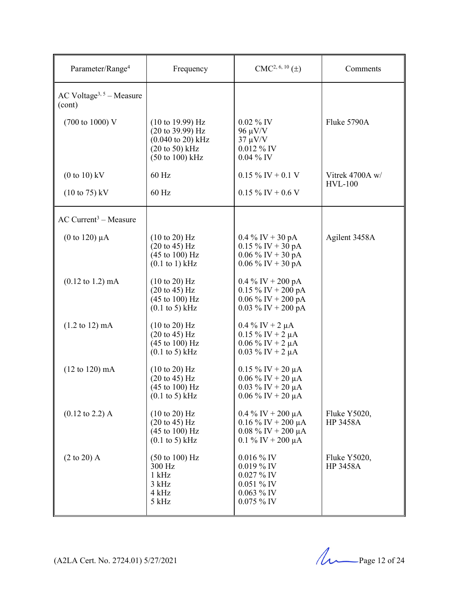| Parameter/Range <sup>4</sup>                       | Frequency                                                                                                                                                  | $CMC2, 6, 10(\pm)$                                                                                        | Comments                          |
|----------------------------------------------------|------------------------------------------------------------------------------------------------------------------------------------------------------------|-----------------------------------------------------------------------------------------------------------|-----------------------------------|
| AC Voltage <sup>3, 5</sup> – Measure<br>(cont)     |                                                                                                                                                            |                                                                                                           |                                   |
| (700 to 1000) V                                    | $(10 \text{ to } 19.99)$ Hz<br>$(20 \text{ to } 39.99) \text{ Hz}$<br>$(0.040 \text{ to } 20) \text{ kHz}$<br>$(20 \text{ to } 50)$ kHz<br>(50 to 100) kHz | $0.02\%$ IV<br>$96 \mu V/V$<br>$37 \mu V/V$<br>$0.012\%$ IV<br>$0.04\%$ IV                                | Fluke 5790A                       |
| $(0 to 10)$ kV<br>$(10 \text{ to } 75) \text{ kV}$ | 60 Hz<br>60 Hz                                                                                                                                             | $0.15\%$ IV + 0.1 V<br>$0.15\%$ IV + 0.6 V                                                                | Vitrek 4700A w/<br><b>HVL-100</b> |
| $AC$ Current <sup>3</sup> – Measure                |                                                                                                                                                            |                                                                                                           |                                   |
| (0 to 120) $\mu$ A                                 | $(10 \text{ to } 20)$ Hz<br>$(20 \text{ to } 45) \text{ Hz}$<br>$(45 \text{ to } 100) \text{ Hz}$<br>$(0.1$ to 1) kHz                                      | $0.4\%$ IV + 30 pA<br>$0.15\%$ IV + $30\text{ pA}$<br>$0.06\%$ IV + 30 pA<br>$0.06\%$ IV + 30 pA          | Agilent 3458A                     |
| $(0.12 \text{ to } 1.2) \text{ mA}$                | $(10 \text{ to } 20)$ Hz<br>$(20 \text{ to } 45) \text{ Hz}$<br>$(45 \text{ to } 100) \text{ Hz}$<br>$(0.1 \text{ to } 5) \text{ kHz}$                     | $0.4\%$ IV + 200 pA<br>$0.15 \%$ IV + 200 pA<br>$0.06\%$ IV + 200 pA<br>$0.03 \%$ IV + 200 pA             |                                   |
| $(1.2 \text{ to } 12) \text{ mA}$                  | $(10 \text{ to } 20)$ Hz<br>$(20 \text{ to } 45) \text{ Hz}$<br>$(45 \text{ to } 100) \text{ Hz}$<br>$(0.1 \text{ to } 5) \text{ kHz}$                     | $0.4\%$ IV + 2 $\mu$ A<br>$0.15 \%$ IV + 2 $\mu$ A<br>$0.06\%$ IV + 2 $\mu$ A<br>$0.03 \%$ IV + 2 $\mu$ A |                                   |
| $(12 \text{ to } 120) \text{ mA}$                  | $(10 \text{ to } 20) \text{ Hz}$<br>$(20 \text{ to } 45) \text{ Hz}$<br>$(45 \text{ to } 100) \text{ Hz}$<br>$(0.1 \text{ to } 5) \text{ kHz}$             | $0.15 \%$ IV + 20 μA<br>$0.06\%$ IV + 20 µA<br>$0.03 \%$ IV + 20 µA<br>$0.06\%$ IV + 20 µA                |                                   |
| $(0.12 \text{ to } 2.2)$ A                         | $(10 \text{ to } 20)$ Hz<br>$(20 \text{ to } 45) \text{ Hz}$<br>$(45 \text{ to } 100) \text{ Hz}$<br>$(0.1 \text{ to } 5) \text{ kHz}$                     | $0.4\%$ IV + 200 µA<br>$0.16\%$ IV + 200 µA<br>$0.08\%$ IV + 200 µA<br>0.1 % IV + 200 $\mu$ A             | Fluke Y5020,<br>HP 3458A          |
| $(2 \text{ to } 20)$ A                             | $(50 \text{ to } 100) \text{ Hz}$<br>300 Hz<br>$1$ kHz<br>3 kHz<br>4 kHz<br>5 kHz                                                                          | $0.016\%$ IV<br>$0.019\%$ IV<br>0.027 % IV<br>$0.051\%$ IV<br>$0.063\%$ IV<br>$0.075\%$ IV                | Fluke Y5020,<br>HP 3458A          |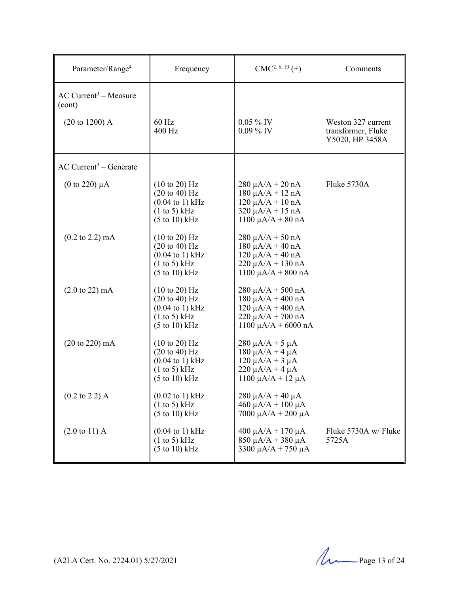| Parameter/Range <sup>4</sup>                  | Frequency                                                                                                                                              | $CMC2, 6, 10(\pm)$                                                                                                                       | Comments                                                    |
|-----------------------------------------------|--------------------------------------------------------------------------------------------------------------------------------------------------------|------------------------------------------------------------------------------------------------------------------------------------------|-------------------------------------------------------------|
| $AC$ Current <sup>3</sup> – Measure<br>(cont) |                                                                                                                                                        |                                                                                                                                          |                                                             |
| $(20 to 1200)$ A                              | $60$ Hz<br>400 Hz                                                                                                                                      | $0.05\%$ IV<br>$0.09\%$ IV                                                                                                               | Weston 327 current<br>transformer, Fluke<br>Y5020, HP 3458A |
| $AC$ Current <sup>3</sup> – Generate          |                                                                                                                                                        |                                                                                                                                          |                                                             |
| (0 to 220) $\mu$ A                            | $(10 \text{ to } 20)$ Hz<br>$(20 \text{ to } 40)$ Hz<br>$(0.04 \text{ to } 1) \text{ kHz}$<br>(1 to 5) kHz<br>(5 to 10) kHz                            | $280 \mu A/A + 20 nA$<br>$180 \mu A/A + 12 nA$<br>$120 \mu A/A + 10 nA$<br>$320 \mu A/A + 15 \text{ nA}$<br>$1100 \mu A/A + 80 nA$       | Fluke 5730A                                                 |
| $(0.2 \text{ to } 2.2) \text{ mA}$            | $(10 \text{ to } 20)$ Hz<br>$(20 \text{ to } 40)$ Hz<br>$(0.04 \text{ to } 1) \text{ kHz}$<br>(1 to 5) kHz<br>$(5 \text{ to } 10) \text{ kHz}$         | $280 \mu A/A + 50 nA$<br>$180 \mu A/A + 40 nA$<br>$120 \mu A/A + 40 nA$<br>$220 \mu A/A + 130 nA$<br>$1100 \mu A/A + 800 nA$             |                                                             |
| $(2.0 \text{ to } 22) \text{ mA}$             | $(10 \text{ to } 20)$ Hz<br>$(20 \text{ to } 40) \text{ Hz}$<br>$(0.04 \text{ to } 1) \text{ kHz}$<br>(1 to 5) kHz<br>$(5 \text{ to } 10) \text{ kHz}$ | $280 \mu A/A + 500 \text{ nA}$<br>$180 \mu A/A + 400 nA$<br>$120 \mu A/A + 400 nA$<br>$220 \mu A/A + 700 nA$<br>$1100 \mu A/A + 6000 nA$ |                                                             |
| $(20 \text{ to } 220) \text{ mA}$             | $(10 \text{ to } 20)$ Hz<br>$(20 \text{ to } 40) \text{ Hz}$<br>$(0.04 \text{ to } 1) \text{ kHz}$<br>(1 to 5) kHz<br>(5 to 10) kHz                    | $280 \mu A/A + 5 \mu A$<br>$180 \mu A/A + 4 \mu A$<br>$120 \mu A/A + 3 \mu A$<br>$220 \mu A/A + 4 \mu A$<br>$1100 \mu A/A + 12 \mu A$    |                                                             |
| $(0.2 \text{ to } 2.2)$ A                     | $(0.02 \text{ to } 1) \text{ kHz}$<br>(1 to 5) kHz<br>$(5 \text{ to } 10)$ kHz                                                                         | $280 \mu A/A + 40 \mu A$<br>$460 \mu A/A + 100 \mu A$<br>7000 μ $A/A$ + 200 μA                                                           |                                                             |
| $(2.0 \text{ to } 11)$ A                      | $(0.04 \text{ to } 1) \text{ kHz}$<br>(1 to 5) kHz<br>$(5 \text{ to } 10) \text{ kHz}$                                                                 | $400 \mu A/A + 170 \mu A$<br>$850 \mu A/A + 380 \mu A$<br>3300 $\mu$ A/A + 750 $\mu$ A                                                   | Fluke 5730A w/ Fluke<br>5725A                               |

(A2LA Cert. No. 2724.01) 5/27/2021 Page 13 of 24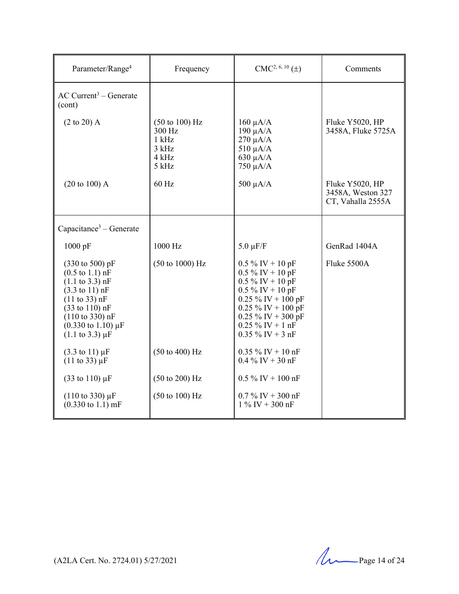| Parameter/Range <sup>4</sup>                                                                                                                                                                                                                                                                                         | Frequency                                                                         | $CMC2, 6, 10(\pm)$                                                                                                                                                                                       | Comments                                                  |
|----------------------------------------------------------------------------------------------------------------------------------------------------------------------------------------------------------------------------------------------------------------------------------------------------------------------|-----------------------------------------------------------------------------------|----------------------------------------------------------------------------------------------------------------------------------------------------------------------------------------------------------|-----------------------------------------------------------|
| $AC$ Current <sup>3</sup> – Generate<br>(cont)                                                                                                                                                                                                                                                                       |                                                                                   |                                                                                                                                                                                                          |                                                           |
| $(2 \text{ to } 20)$ A                                                                                                                                                                                                                                                                                               | $(50 \text{ to } 100) \text{ Hz}$<br>300 Hz<br>$1$ kHz<br>3 kHz<br>4 kHz<br>5 kHz | $160 \mu A/A$<br>$190 \mu A/A$<br>$270 \mu A/A$<br>$510 \mu A/A$<br>$630 \mu A/A$<br>$750 \mu A/A$                                                                                                       | Fluke Y5020, HP<br>3458A, Fluke 5725A                     |
| $(20 \text{ to } 100)$ A                                                                                                                                                                                                                                                                                             | 60 Hz                                                                             | $500 \mu A/A$                                                                                                                                                                                            | Fluke Y5020, HP<br>3458A, Weston 327<br>CT, Vahalla 2555A |
| Capacitance <sup>3</sup> – Generate                                                                                                                                                                                                                                                                                  |                                                                                   |                                                                                                                                                                                                          |                                                           |
| $1000$ pF                                                                                                                                                                                                                                                                                                            | 1000 Hz                                                                           | $5.0 \mu F/F$                                                                                                                                                                                            | GenRad 1404A                                              |
| $(330 \text{ to } 500) \text{ pF}$<br>$(0.5 \text{ to } 1.1) \text{ nF}$<br>$(1.1 \text{ to } 3.3) \text{ nF}$<br>$(3.3 \text{ to } 11) \text{ nF}$<br>(11 to 33) nF<br>$(33 \text{ to } 110) \text{ nF}$<br>$(110 \text{ to } 330) \text{ nF}$<br>$(0.330 \text{ to } 1.10) \mu F$<br>$(1.1 \text{ to } 3.3) \mu F$ | $(50 \text{ to } 1000) \text{ Hz}$                                                | $0.5\%$ IV + 10 pF<br>$0.5\%$ IV + 10 pF<br>$0.5\%$ IV + 10 pF<br>$0.5\%$ IV + 10 pF<br>$0.25\%$ IV + $100$ pF<br>$0.25\%$ IV + 100 pF<br>0.25 % IV + 300 pF<br>$0.25\%$ IV + 1 nF<br>$0.35\%$ IV + 3 nF | Fluke 5500A                                               |
| $(3.3 \text{ to } 11) \mu F$<br>$(11 \text{ to } 33) \mu F$                                                                                                                                                                                                                                                          | $(50 \text{ to } 400) \text{ Hz}$                                                 | $0.35 \%$ IV + 10 nF<br>$0.4\%$ IV + 30 nF                                                                                                                                                               |                                                           |
| $(33 \text{ to } 110) \,\mu\text{F}$                                                                                                                                                                                                                                                                                 | $(50 \text{ to } 200) \text{ Hz}$                                                 | $0.5\%$ IV + 100 nF                                                                                                                                                                                      |                                                           |
| $(110 \text{ to } 330) \mu F$<br>$(0.330 \text{ to } 1.1) \text{ mF}$                                                                                                                                                                                                                                                | $(50 \text{ to } 100) \text{ Hz}$                                                 | $0.7\%$ IV + 300 nF<br>$1\%$ IV + 300 nF                                                                                                                                                                 |                                                           |

(A2LA Cert. No. 2724.01) 5/27/2021 Page 14 of 24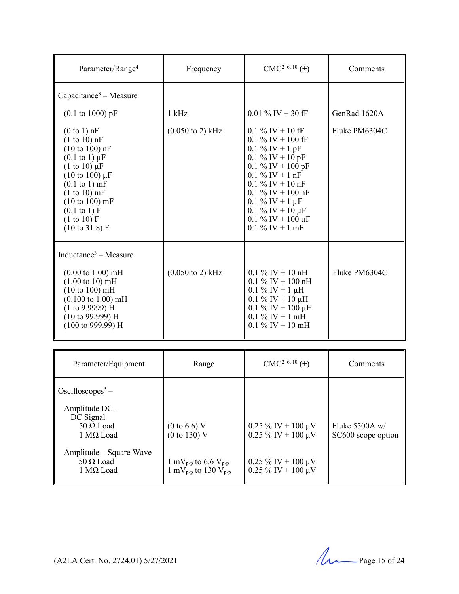| Parameter/Range <sup>4</sup>                                                                                                                                                                                                                                                                                               | Frequency                           | $CMC2, 6, 10(\pm)$                                                                                                                                                                                                                                                     | Comments      |
|----------------------------------------------------------------------------------------------------------------------------------------------------------------------------------------------------------------------------------------------------------------------------------------------------------------------------|-------------------------------------|------------------------------------------------------------------------------------------------------------------------------------------------------------------------------------------------------------------------------------------------------------------------|---------------|
| Capacitance <sup>3</sup> – Measure                                                                                                                                                                                                                                                                                         |                                     |                                                                                                                                                                                                                                                                        |               |
| $(0.1 \text{ to } 1000) \text{ pF}$                                                                                                                                                                                                                                                                                        | $1$ kHz                             | $0.01\%$ IV + 30 fF                                                                                                                                                                                                                                                    | GenRad 1620A  |
| $(0 to 1)$ nF<br>$(1 to 10)$ nF<br>$(10 to 100)$ nF<br>$(0.1 \text{ to } 1) \mu F$<br>$(1 \text{ to } 10) \mu F$<br>$(10 \text{ to } 100) \mu F$<br>$(0.1 \text{ to } 1) \text{ mF}$<br>$(1 to 10)$ mF<br>$(10 \text{ to } 100) \text{ mF}$<br>$(0.1 \text{ to } 1) F$<br>(1 to 10) F<br>$(10 \text{ to } 31.8) \text{ F}$ | $(0.050 \text{ to } 2) \text{ kHz}$ | $0.1\%$ IV + 10 fF<br>$0.1\%$ IV + 100 fF<br>$0.1 \%$ IV + 1 pF<br>$0.1\%$ IV + 10 pF<br>$0.1\%$ IV + 100 pF<br>$0.1\%$ IV + 1 nF<br>$0.1\%$ IV + 10 nF<br>$0.1\%$ IV + 100 nF<br>$0.1\%$ IV + 1 $\mu$ F<br>0.1 % IV + 10 μF<br>0.1 % IV + 100 μF<br>$0.1\%$ IV + 1 mF | Fluke PM6304C |
| Inductance <sup>3</sup> – Measure<br>$(0.00 \text{ to } 1.00) \text{ mH}$<br>$(1.00 \text{ to } 10) \text{ mH}$<br>(10 to 100) mH<br>$(0.100 \text{ to } 1.00) \text{ mH}$<br>(1 to 9.9999) H<br>$(10 \text{ to } 99.999) \text{ H}$<br>$(100 \text{ to } 999.99) \text{ H}$                                               | $(0.050 \text{ to } 2) \text{ kHz}$ | $0.1\%$ IV + 10 nH<br>$0.1\%$ IV + 100 nH<br>$0.1 \%$ IV + 1 $\mu$ H<br>$0.1\%$ IV + 10 µH<br>$0.1\%$ IV + 100 µH<br>$0.1\%$ IV + 1 mH<br>$0.1\%$ IV + 10 mH                                                                                                           | Fluke PM6304C |

| Parameter/Equipment                                                                                           | Range                                                                                      | $CMC2, 6, 10(\pm)$                           | Comments                               |
|---------------------------------------------------------------------------------------------------------------|--------------------------------------------------------------------------------------------|----------------------------------------------|----------------------------------------|
| Oscilloscopes <sup>3</sup> –<br>Amplitude $DC -$<br>DC Signal<br>50 $\Omega$ Load<br>$1 \text{ M}\Omega$ Load | $(0 \text{ to } 6.6)$ V<br>(0 to 130) V                                                    | $0.25\%$ IV + 100 µV<br>$0.25\%$ IV + 100 µV | Fluke 5500A $w/$<br>SC600 scope option |
| Amplitude – Square Wave<br>$50 \Omega$ Load<br>$1$ MΩ Load                                                    | 1 mV <sub>p-p</sub> to 6.6 V <sub>p-p</sub><br>1 mV <sub>p-p</sub> to 130 V <sub>p-p</sub> | $0.25\%$ IV + 100 µV<br>$0.25\%$ IV + 100 µV |                                        |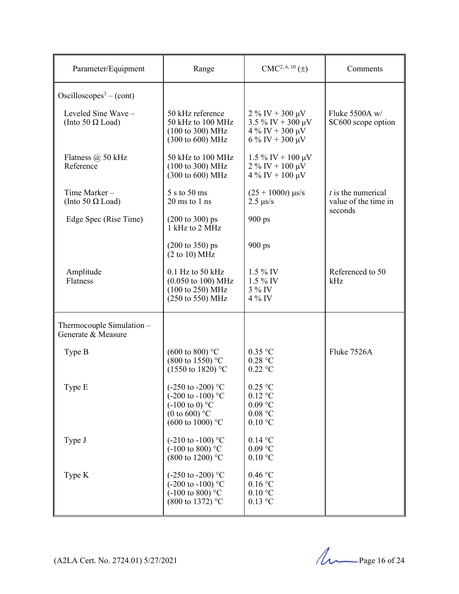| Parameter/Equipment                             | Range                                                                                                                                               | $CMC2, 6, 10(\pm)$                                                                           | Comments                                                |
|-------------------------------------------------|-----------------------------------------------------------------------------------------------------------------------------------------------------|----------------------------------------------------------------------------------------------|---------------------------------------------------------|
| Oscilloscopes <sup>3</sup> – (cont)             |                                                                                                                                                     |                                                                                              |                                                         |
| Leveled Sine Wave -<br>(Into 50 $\Omega$ Load)  | 50 kHz reference<br>50 kHz to 100 MHz<br>$(100 \text{ to } 300) \text{ MHz}$<br>(300 to 600) MHz                                                    | $2\%$ IV + 300 $\mu$ V<br>$3.5\%$ IV + 300 µV<br>$4\%$ IV + 300 µV<br>$6\%$ IV + 300 $\mu$ V | Fluke 5500A w/<br>SC600 scope option                    |
| Flatness $\omega$ 50 kHz<br>Reference           | 50 kHz to 100 MHz<br>$(100 \text{ to } 300) \text{ MHz}$<br>(300 to 600) MHz                                                                        | $1.5\%$ IV + 100 µV<br>$2\%$ IV + 100 $\mu \dot{V}$<br>$4\%$ IV + 100 µV                     |                                                         |
| Time Marker-<br>(Into 50 $\Omega$ Load)         | 5 s to 50 ms<br>$20 \text{ ms}$ to $1 \text{ ns}$                                                                                                   | $(25 + 1000t)$ µs/s<br>$2.5 \ \mu s/s$                                                       | $t$ is the numerical<br>value of the time in<br>seconds |
| Edge Spec (Rise Time)                           | $(200 \text{ to } 300) \text{ ps}$<br>$\overline{1}$ kHz to $\overline{2}$ MHz                                                                      | $900 \text{ ps}$                                                                             |                                                         |
|                                                 | $(200 \text{ to } 350) \text{ ps}$<br>(2 to 10) MHz                                                                                                 | $900 \text{ ps}$                                                                             |                                                         |
| Amplitude<br>Flatness                           | $0.1$ Hz to 50 kHz<br>$(0.050 \text{ to } 100) \text{ MHz}$<br>(100 to 250) MHz<br>$(250 \text{ to } 550) \text{ MHz}$                              | $1.5\%$ IV<br>$1.5\%$ IV<br>3 % IV<br>$4\%$ IV                                               | Referenced to 50<br>kHz                                 |
| Thermocouple Simulation -<br>Generate & Measure |                                                                                                                                                     |                                                                                              |                                                         |
| Type B                                          | $(600 \text{ to } 800)$ °C<br>$(800 \text{ to } 1550)$ °C<br>$(1550 \text{ to } 1820)$ °C                                                           | $0.35$ °C<br>0.28 °C<br>$0.22$ °C                                                            | Fluke 7526A                                             |
| Type E                                          | $(-250 \text{ to } -200)$ °C<br>$(-200 \text{ to } -100)$ °C<br>$(-100 \text{ to } 0)$ °C<br>(0 to 600) $^{\circ}$ C<br>$(600 \text{ to } 1000)$ °C | $0.25$ °C<br>$0.12$ °C<br>$0.09\ ^{\circ}\textrm{C}$<br>0.08 °C<br>$0.10\text{ °C}$          |                                                         |
| Type J                                          | $(-210 \text{ to } -100)$ °C<br>$(-100 \text{ to } 800)$ °C<br>$(800 \text{ to } 1200)$ °C                                                          | $0.14$ °C<br>$0.09$ °C<br>$0.10\ ^{\circ}\textrm{C}$                                         |                                                         |
| Type K                                          | $(-250 \text{ to } -200)$ °C<br>$(-200 \text{ to } -100)$ °C<br>$(-100 \text{ to } 800)$ °C<br>$(800 \text{ to } 1372)$ °C                          | $0.46\ ^{\circ}\mathrm{C}$<br>0.16 °C<br>$0.10\ ^{\circ}\textrm{C}$<br>$0.13$ °C             |                                                         |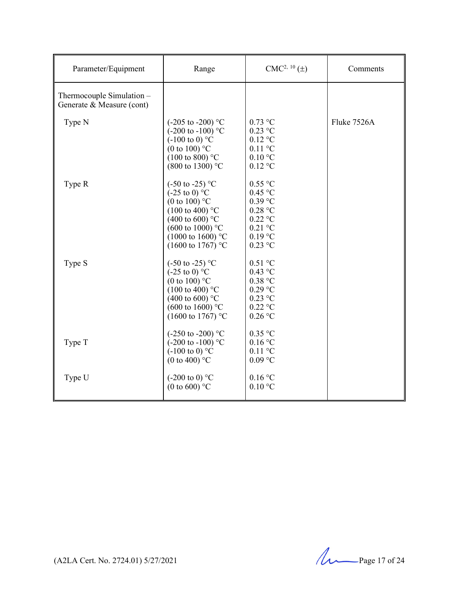| Parameter/Equipment                                    | Range                                                                                                                                                                                                                                        | $CMC2, 10(\pm)$                                                                                      | Comments    |
|--------------------------------------------------------|----------------------------------------------------------------------------------------------------------------------------------------------------------------------------------------------------------------------------------------------|------------------------------------------------------------------------------------------------------|-------------|
| Thermocouple Simulation -<br>Generate & Measure (cont) |                                                                                                                                                                                                                                              |                                                                                                      |             |
| Type N                                                 | $(-205 \text{ to } -200)$ °C<br>$(-200 \text{ to } -100)$ °C<br>$(-100 \text{ to } 0)$ °C<br>(0 to 100) $\mathrm{^{\circ}C}$<br>$(100 \text{ to } 800)$ °C<br>(800 to 1300) °C                                                               | $0.73$ °C<br>$0.23$ °C<br>$0.12$ °C<br>$0.11$ °C<br>$0.10\text{ °C}$<br>$0.12$ °C                    | Fluke 7526A |
| Type R                                                 | $(-50 \text{ to } -25)$ °C<br>$(-25 \text{ to } 0)$ °C<br>(0 to 100) $^{\circ}$ C<br>$(100 \text{ to } 400)$ °C<br>$(400 \text{ to } 600)$ °C<br>$(600 \text{ to } 1000)$ °C<br>$(1000 \text{ to } 1600)$ °C<br>$(1600 \text{ to } 1767)$ °C | $0.55$ °C<br>$0.45$ °C<br>$0.39$ °C<br>$0.28$ °C<br>$0.22$ °C<br>$0.21$ °C<br>$0.19$ °C<br>$0.23$ °C |             |
| Type S                                                 | $(-50 \text{ to } -25)$ °C<br>$(-25 \text{ to } 0)$ °C<br>(0 to 100) $^{\circ}$ C<br>$(100 \text{ to } 400)$ °C<br>$(400 \text{ to } 600)$ °C<br>$(600 \text{ to } 1600)$ °C<br>(1600 to 1767) °C                                            | $0.51$ °C<br>$0.43$ °C<br>0.38 °C<br>$0.29$ °C<br>$0.23$ °C<br>$0.22$ °C<br>$0.26$ °C                |             |
| Type T                                                 | $(-250 \text{ to } -200)$ °C<br>$(-200 \text{ to } -100)$ °C<br>$(-100 \text{ to } 0)$ °C<br>(0 to 400) $^{\circ}$ C                                                                                                                         | $0.35$ °C<br>$0.16$ °C<br>$0.11$ °C<br>$0.09$ °C                                                     |             |
| Type U                                                 | $(-200 \text{ to } 0)$ °C<br>(0 to 600) $^{\circ}$ C                                                                                                                                                                                         | 0.16 °C<br>$0.10\text{ °C}$                                                                          |             |

(A2LA Cert. No. 2724.01) 5/27/2021 Page 17 of 24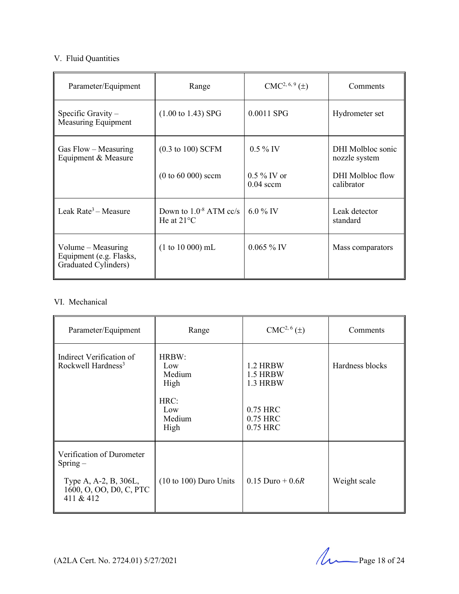# V. Fluid Quantities

| Parameter/Equipment                                                     | Range                                               | $CMC2, 6, 9(\pm)$            | Comments                           |
|-------------------------------------------------------------------------|-----------------------------------------------------|------------------------------|------------------------------------|
| Specific Gravity $-$<br>Measuring Equipment                             | $(1.00 \text{ to } 1.43)$ SPG                       | 0.0011 SPG                   | Hydrometer set                     |
| Gas Flow - Measuring<br>Equipment & Measure                             | $(0.3 \text{ to } 100)$ SCFM                        | $0.5\%$ IV                   | DHI Molbloc sonic<br>nozzle system |
|                                                                         | $(0 to 60 000)$ sccm                                | $0.5\%$ IV or<br>$0.04$ sccm | DHI Molbloc flow<br>calibrator     |
| Leak Rate <sup>3</sup> – Measure                                        | Down to $1.0^{-8}$ ATM cc/s<br>He at $21^{\circ}$ C | 6.0 % IV                     | Leak detector<br>standard          |
| Volume $-$ Measuring<br>Equipment (e.g. Flasks,<br>Graduated Cylinders) | $(1 to 10 000)$ mL                                  | $0.065\%$ IV                 | Mass comparators                   |

# VI. Mechanical

| Parameter/Equipment                                                                                     | Range                                                           | $CMC2, 6(\pm)$                                                       | Comments        |
|---------------------------------------------------------------------------------------------------------|-----------------------------------------------------------------|----------------------------------------------------------------------|-----------------|
| Indirect Verification of<br>Rockwell Hardness <sup>3</sup>                                              | HRBW:<br>Low<br>Medium<br>High<br>HRC:<br>Low<br>Medium<br>High | 1.2 HRBW<br>1.5 HRBW<br>1.3 HRBW<br>0.75 HRC<br>0.75 HRC<br>0.75 HRC | Hardness blocks |
| Verification of Durometer<br>$Spring-$<br>Type A, A-2, B, 306L,<br>1600, O, OO, D0, C, PTC<br>411 & 412 | $(10 to 100)$ Duro Units                                        | $0.15$ Duro + 0.6R                                                   | Weight scale    |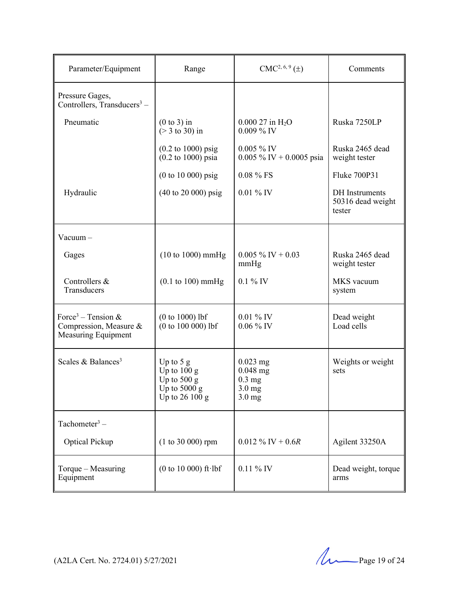| Parameter/Equipment                                                             | Range                                                                              | $CMC2, 6, 9(\pm)$                                                    | Comments                                             |
|---------------------------------------------------------------------------------|------------------------------------------------------------------------------------|----------------------------------------------------------------------|------------------------------------------------------|
| Pressure Gages,<br>Controllers, $Transducers^3$ –                               |                                                                                    |                                                                      |                                                      |
| Pneumatic                                                                       | $(0 to 3)$ in<br>$($ > 3 to 30) in                                                 | $0.00027$ in H <sub>2</sub> O<br>$0.009\%$ IV                        | Ruska 7250LP                                         |
|                                                                                 | $(0.2 \text{ to } 1000) \text{ psig}$<br>$(0.2 \text{ to } 1000) \text{ psia}$     | 0.005 % IV<br>$0.005\%$ IV + 0.0005 psia                             | Ruska 2465 dead<br>weight tester                     |
|                                                                                 | $(0 to 10 000)$ psig                                                               | 0.08 % FS                                                            | Fluke 700P31                                         |
| Hydraulic                                                                       | $(40 \text{ to } 20 \text{ 000}) \text{ psig}$                                     | $0.01\%$ IV                                                          | <b>DH</b> Instruments<br>50316 dead weight<br>tester |
| $Vacuum -$                                                                      |                                                                                    |                                                                      |                                                      |
| Gages                                                                           | $(10 to 1000)$ mmHg                                                                | $0.005\%$ IV + 0.03<br>mmHg                                          | Ruska 2465 dead<br>weight tester                     |
| Controllers &<br>Transducers                                                    | $(0.1 \text{ to } 100) \text{ mmHg}$                                               | $0.1\%$ IV                                                           | MKS vacuum<br>system                                 |
| Force <sup>3</sup> – Tension &<br>Compression, Measure &<br>Measuring Equipment | $(0 to 1000)$ lbf<br>$(0 to 100 000)$ lbf                                          | $0.01\%$ IV<br>$0.06\%$ IV                                           | Dead weight<br>Load cells                            |
| Scales & Balances <sup>3</sup>                                                  | Up to $5 g$<br>Up to $100 g$<br>Up to $500 g$<br>Up to $5000 g$<br>Up to $26100 g$ | $0.023$ mg<br>$0.048$ mg<br>$0.3 \text{ mg}$<br>$3.0$ mg<br>$3.0$ mg | Weights or weight<br>sets                            |
| Tachometer <sup>3</sup> –                                                       |                                                                                    |                                                                      |                                                      |
| Optical Pickup                                                                  | $(1 to 30 000)$ rpm                                                                | $0.012 \%$ IV + 0.6R                                                 | Agilent 33250A                                       |
| Torque – Measuring<br>Equipment                                                 | (0 to 10 000) ft $\cdot$ lbf                                                       | $0.11\%$ IV                                                          | Dead weight, torque<br>arms                          |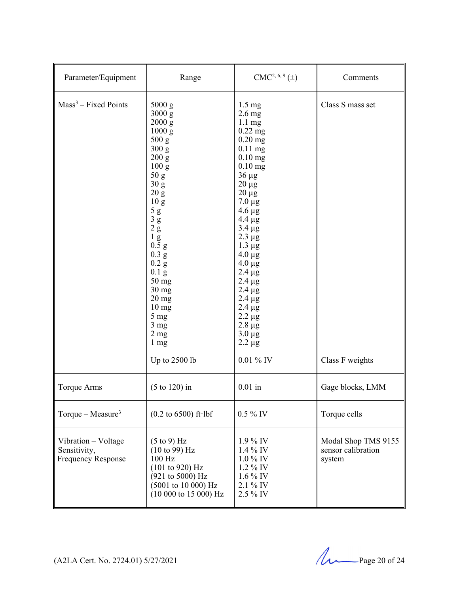| Parameter/Equipment                                              | Range                                                                                                                                                                                                                                                                                                                                                                                                   | CMC <sup>2, 6, 9</sup> (±)                                                                                                                                                                                                                                                                                                                                                                                                   | Comments                                            |
|------------------------------------------------------------------|---------------------------------------------------------------------------------------------------------------------------------------------------------------------------------------------------------------------------------------------------------------------------------------------------------------------------------------------------------------------------------------------------------|------------------------------------------------------------------------------------------------------------------------------------------------------------------------------------------------------------------------------------------------------------------------------------------------------------------------------------------------------------------------------------------------------------------------------|-----------------------------------------------------|
| $Mass3 - Fixed Points$                                           | 5000 g<br>3000 g<br>2000 g<br>1000 g<br>500 g<br>300 g<br>200 g<br>100 g<br>50 <sub>g</sub><br>30 <sub>g</sub><br>20 g<br>10 <sub>g</sub><br>$5\ \mathrm{g}$<br>$3\ {\rm g}$<br>2 g<br>$1\ {\rm g}$<br>0.5 g<br>$0.3\text{ g}$<br>0.2 g<br>0.1 <sub>g</sub><br>50 mg<br>$30 \text{ mg}$<br>$20 \text{ mg}$<br>$10 \text{ mg}$<br>5 <sub>mg</sub><br>$3 \text{ mg}$<br>2 <sub>mg</sub><br>$1 \text{ mg}$ | $1.5 \text{ mg}$<br>$2.6$ mg<br>$1.1 \text{ mg}$<br>$0.22$ mg<br>$0.20$ mg<br>$0.11$ mg<br>$0.10$ mg<br>$0.10$ mg<br>$36 \mu g$<br>$20 \mu g$<br>$20 \mu g$<br>$7.0 \ \mu g$<br>$4.6 \mu g$<br>$4.4 \mu g$<br>$3.4 \mu g$<br>$2.3 \mu g$<br>$1.3 \mu g$<br>$4.0 \mu g$<br>$4.0 \mu g$<br>$2.4 \mu g$<br>$2.4 \mu g$<br>$2.4 \mu g$<br>$2.4 \mu g$<br>$2.4 \mu g$<br>$2.2 \mu g$<br>$2.8~\mu g$<br>$3.0 \mu g$<br>$2.2 \mu g$ | Class S mass set                                    |
|                                                                  | Up to 2500 lb                                                                                                                                                                                                                                                                                                                                                                                           | $0.01\ \%$ IV                                                                                                                                                                                                                                                                                                                                                                                                                | Class F weights                                     |
| <b>Torque Arms</b>                                               | $(5 \text{ to } 120)$ in                                                                                                                                                                                                                                                                                                                                                                                | $0.01$ in                                                                                                                                                                                                                                                                                                                                                                                                                    | Gage blocks, LMM                                    |
| Torque – Measure <sup>3</sup>                                    | $(0.2 \text{ to } 6500) \text{ ft·lbf}$                                                                                                                                                                                                                                                                                                                                                                 | $0.5\%$ IV                                                                                                                                                                                                                                                                                                                                                                                                                   | Torque cells                                        |
| Vibration - Voltage<br>Sensitivity,<br><b>Frequency Response</b> | $(5 \text{ to } 9)$ Hz<br>(10 to 99) Hz<br>100 Hz<br>(101 to 920) Hz<br>$(921 \text{ to } 5000) \text{ Hz}$<br>$(5001$ to 10 000) Hz<br>(10 000 t 15 000) Hz                                                                                                                                                                                                                                            | $1.9\%$ IV<br>1.4 % IV<br>1.0 % IV<br>1.2 % IV<br>1.6 % IV<br>2.1 % IV<br>2.5 % IV                                                                                                                                                                                                                                                                                                                                           | Modal Shop TMS 9155<br>sensor calibration<br>system |

(A2LA Cert. No. 2724.01) 5/27/2021 Page 20 of 24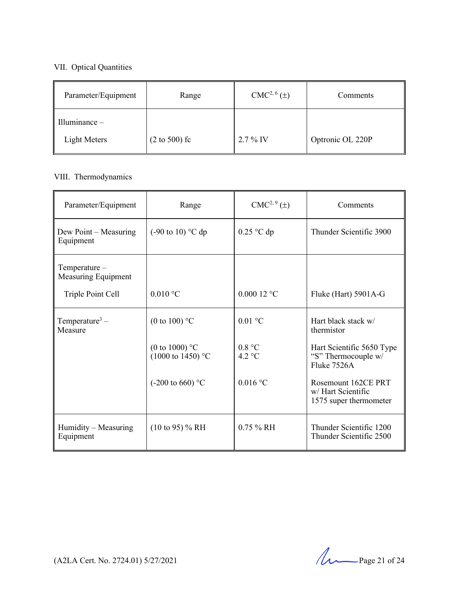### VII. Optical Quantities

| Parameter/Equipment         | Range                    | CMC <sup>2, 6</sup> (±) | Comments         |
|-----------------------------|--------------------------|-------------------------|------------------|
| $\parallel$ Illuminance $-$ |                          |                         |                  |
| Light Meters                | $(2 \text{ to } 500)$ fc | $2.7\%$ IV              | Optronic OL 220P |

# VIII. Thermodynamics

| Parameter/Equipment                   | Range                                                    | $CMC2, 9(\pm)$    | Comments                                                            |
|---------------------------------------|----------------------------------------------------------|-------------------|---------------------------------------------------------------------|
| Dew Point – Measuring<br>Equipment    | $(-90 \text{ to } 10)$ °C dp                             | $0.25$ °C dp      | Thunder Scientific 3900                                             |
| $Temperature-$<br>Measuring Equipment |                                                          |                   |                                                                     |
| Triple Point Cell                     | $0.010$ °C                                               | $0.00012$ °C      | Fluke (Hart) 5901A-G                                                |
| Temperature <sup>3</sup> –<br>Measure | (0 to 100) $^{\circ}$ C                                  | $0.01 \text{ °C}$ | Hart black stack w/<br>thermistor                                   |
|                                       | (0 to 1000) $^{\circ}$ C<br>$(1000 \text{ to } 1450)$ °C | 0.8 °C<br>4.2 °C  | Hart Scientific 5650 Type<br>"S" Thermocouple w/<br>Fluke 7526A     |
|                                       | (-200 to 660) $^{\circ}$ C                               | $0.016$ °C        | Rosemount 162CE PRT<br>w/ Hart Scientific<br>1575 super thermometer |
| Humidity – Measuring<br>Equipment     | $(10 \text{ to } 95)$ % RH                               | $0.75 \%$ RH      | Thunder Scientific 1200<br>Thunder Scientific 2500                  |

(A2LA Cert. No. 2724.01) 5/27/2021 Page 21 of 24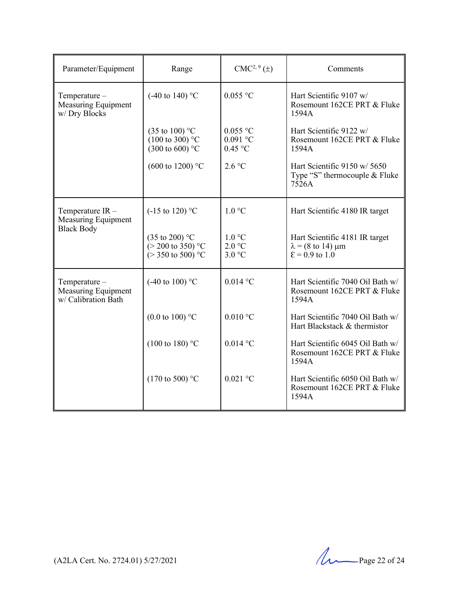| Parameter/Equipment                                               | Range                                                                                    | $CMC2, 9(\pm)$                        | Comments                                                                                   |
|-------------------------------------------------------------------|------------------------------------------------------------------------------------------|---------------------------------------|--------------------------------------------------------------------------------------------|
| Temperature-<br>Measuring Equipment<br>w/Dry Blocks               | $(-40 \text{ to } 140)$ °C                                                               | $0.055$ °C                            | Hart Scientific 9107 w/<br>Rosemount 162CE PRT & Fluke<br>1594A                            |
|                                                                   | $(35 \text{ to } 100)$ °C<br>$(100 \text{ to } 300)$ °C<br>$(300 \text{ to } 600)$ °C    | $0.055$ °C<br>$0.091$ °C<br>$0.45$ °C | Hart Scientific 9122 w/<br>Rosemount 162CE PRT & Fluke<br>1594A                            |
|                                                                   | $(600 \text{ to } 1200)$ °C                                                              | 2.6 °C                                | Hart Scientific 9150 w/ 5650<br>Type "S" thermocouple & Fluke<br>7526A                     |
| Temperature IR-<br><b>Measuring Equipment</b>                     | $(-15 \text{ to } 120)$ °C                                                               | 1.0 °C                                | Hart Scientific 4180 IR target                                                             |
| <b>Black Body</b>                                                 | $(35 \text{ to } 200)$ °C<br>$(> 200 \text{ to } 350)$ °C<br>$(>350 \text{ to } 500)$ °C | 1.0 °C<br>2.0 °C<br>3.0 °C            | Hart Scientific 4181 IR target<br>$\lambda$ = (8 to 14) $\mu$ m<br>$\epsilon$ = 0.9 to 1.0 |
| Temperature-<br><b>Measuring Equipment</b><br>w/ Calibration Bath | $(-40 \text{ to } 100)$ °C                                                               | $0.014$ °C                            | Hart Scientific 7040 Oil Bath w/<br>Rosemount 162CE PRT & Fluke<br>1594A                   |
|                                                                   | $(0.0 \text{ to } 100)$ °C                                                               | $0.010$ °C                            | Hart Scientific 7040 Oil Bath w/<br>Hart Blackstack & thermistor                           |
|                                                                   | $(100 \text{ to } 180)$ °C                                                               | $0.014$ °C                            | Hart Scientific 6045 Oil Bath w/<br>Rosemount 162CE PRT & Fluke<br>1594A                   |
|                                                                   | $(170 \text{ to } 500)$ °C                                                               | $0.021$ °C                            | Hart Scientific 6050 Oil Bath w/<br>Rosemount 162CE PRT & Fluke<br>1594A                   |

(A2LA Cert. No. 2724.01) 5/27/2021 Page 22 of 24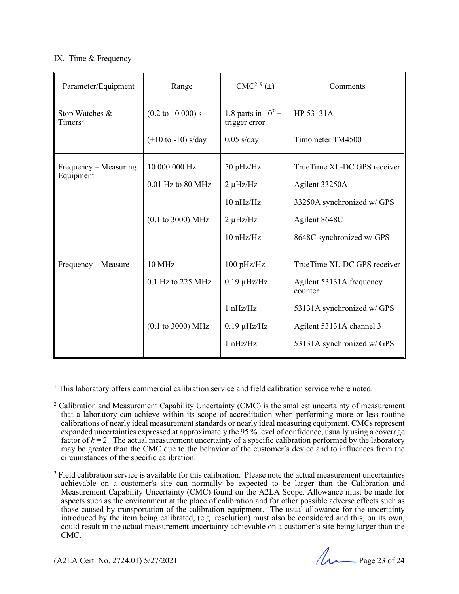#### IX. Time & Frequency

| Parameter/Equipment                   | Range                                 | $CMC2, 9(\pm)$                           | Comments                            |
|---------------------------------------|---------------------------------------|------------------------------------------|-------------------------------------|
| Stop Watches &<br>Timers <sup>3</sup> | $(0.2 \text{ to } 10\,000) \text{ s}$ | 1.8 parts in $10^{7} +$<br>trigger error | HP 53131A                           |
|                                       | $(+10 \text{ to } -10)$ s/day         | $0.05$ s/day                             | Timometer TM4500                    |
| Frequency – Measuring<br>Equipment    | 10 000 000 Hz                         | 50 pHz/Hz                                | TrueTime XL-DC GPS receiver         |
|                                       | $0.01$ Hz to 80 MHz                   | $2 \mu$ Hz/Hz                            | Agilent 33250A                      |
|                                       |                                       | $10 \text{ nHz/Hz}$                      | 33250A synchronized w/ GPS          |
|                                       | $(0.1 \text{ to } 3000) \text{ MHz}$  | $2 \mu$ Hz/Hz                            | Agilent 8648C                       |
|                                       |                                       | 10 nHz/Hz                                | 8648C synchronized w/ GPS           |
| Frequency – Measure                   | <b>10 MHz</b>                         | $100$ pHz/Hz                             | TrueTime XL-DC GPS receiver         |
|                                       | $0.1$ Hz to 225 MHz                   | $0.19 \mu$ Hz/Hz                         | Agilent 53131A frequency<br>counter |
|                                       |                                       | 1 nHz/Hz                                 | 53131A synchronized w/ GPS          |
|                                       | $(0.1 \text{ to } 3000) \text{ MHz}$  | $0.19 \mu$ Hz/Hz                         | Agilent 53131A channel 3            |
|                                       |                                       | 1 nHz/Hz                                 | 53131A synchronized w/ GPS          |

<sup>&</sup>lt;sup>1</sup> This laboratory offers commercial calibration service and field calibration service where noted.

(A2LA Cert. No. 2724.01) 5/27/2021 Page 23 of 24

 $\mathcal{L}_\text{max}$  and the contract of the contract of the contract of the contract of the contract of the contract of the contract of the contract of the contract of the contract of the contract of the contract of the contrac

<sup>&</sup>lt;sup>2</sup> Calibration and Measurement Capability Uncertainty (CMC) is the smallest uncertainty of measurement that a laboratory can achieve within its scope of accreditation when performing more or less routine calibrations of nearly ideal measurement standards or nearly ideal measuring equipment. CMCs represent expanded uncertainties expressed at approximately the 95 % level of confidence, usually using a coverage factor of  $k = 2$ . The actual measurement uncertainty of a specific calibration performed by the laboratory may be greater than the CMC due to the behavior of the customer's device and to influences from the circumstances of the specific calibration.

<sup>&</sup>lt;sup>3</sup> Field calibration service is available for this calibration. Please note the actual measurement uncertainties achievable on a customer's site can normally be expected to be larger than the Calibration and Measurement Capability Uncertainty (CMC) found on the A2LA Scope. Allowance must be made for aspects such as the environment at the place of calibration and for other possible adverse effects such as those caused by transportation of the calibration equipment. The usual allowance for the uncertainty introduced by the item being calibrated, (e.g. resolution) must also be considered and this, on its own, could result in the actual measurement uncertainty achievable on a customer's site being larger than the CMC.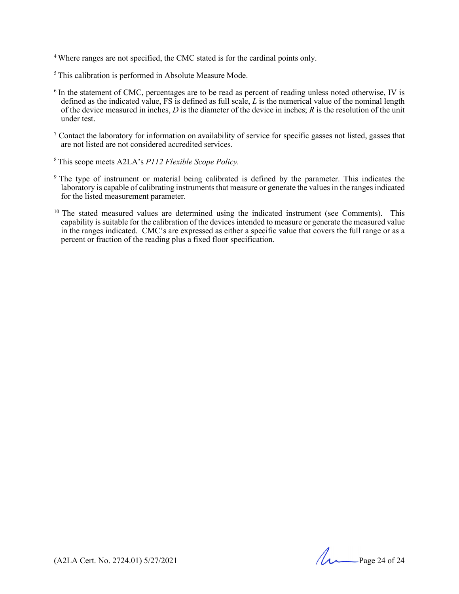<sup>4</sup> Where ranges are not specified, the CMC stated is for the cardinal points only.

5 This calibration is performed in Absolute Measure Mode.

- <sup>6</sup> In the statement of CMC, percentages are to be read as percent of reading unless noted otherwise, IV is defined as the indicated value, FS is defined as full scale, *L* is the numerical value of the nominal length of the device measured in inches, *D* is the diameter of the device in inches; *R* is the resolution of the unit under test.
- <sup>7</sup> Contact the laboratory for information on availability of service for specific gasses not listed, gasses that are not listed are not considered accredited services.
- 8 This scope meets A2LA's *P112 Flexible Scope Policy.*
- <sup>9</sup> The type of instrument or material being calibrated is defined by the parameter. This indicates the laboratory is capable of calibrating instruments that measure or generate the values in the ranges indicated for the listed measurement parameter.
- $10$  The stated measured values are determined using the indicated instrument (see Comments). This capability is suitable for the calibration of the devices intended to measure or generate the measured value in the ranges indicated. CMC's are expressed as either a specific value that covers the full range or as a percent or fraction of the reading plus a fixed floor specification.

(A2LA Cert. No. 2724.01) 5/27/2021 Page 24 of 24